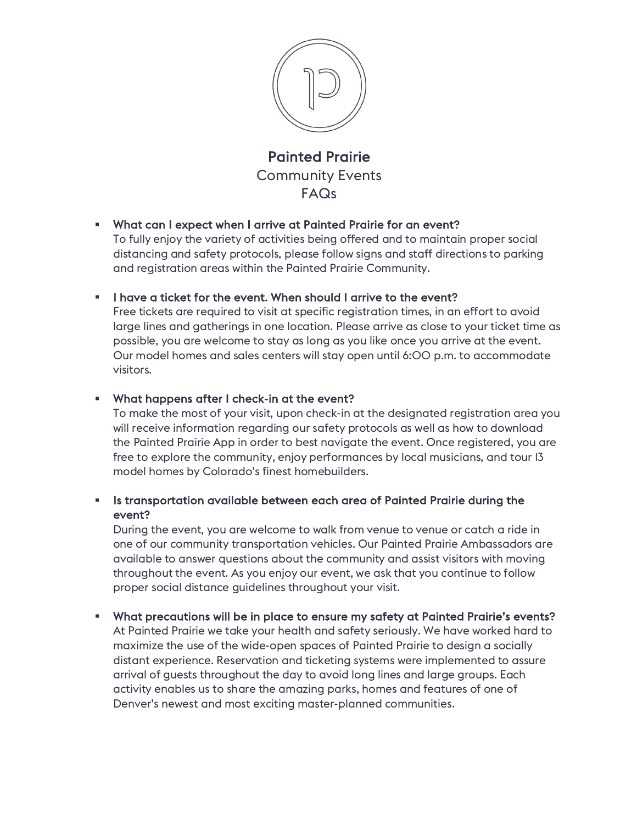

Painted Prairie Community Events FAQs

#### § What can I expect when I arrive at Painted Prairie for an event?

To fully enjoy the variety of activities being offered and to maintain proper social distancing and safety protocols, please follow signs and staff directions to parking and registration areas within the Painted Prairie Community.

## **•** I have a ticket for the event. When should I arrive to the event?

Free tickets are required to visit at specific registration times, in an effort to avoid large lines and gatherings in one location. Please arrive as close to your ticket time as possible, you are welcome to stay as long as you like once you arrive at the event. Our model homes and sales centers will stay open until 6:00 p.m. to accommodate visitors.

## § What happens after I check-in at the event?

To make the most of your visit, upon check-in at the designated registration area you will receive information regarding our safety protocols as well as how to download the Painted Prairie App in order to best navigate the event. Once registered, you are free to explore the community, enjoy performances by local musicians, and tour 13 model homes by Colorado's finest homebuilders.

## **• Is transportation available between each area of Painted Prairie during the** event?

During the event, you are welcome to walk from venue to venue or catch a ride in one of our community transportation vehicles. Our Painted Prairie Ambassadors are available to answer questions about the community and assist visitors with moving throughout the event. As you enjoy our event, we ask that you continue to follow proper social distance guidelines throughout your visit.

#### § What precautions will be in place to ensure my safety at Painted Prairie's events?

At Painted Prairie we take your health and safety seriously. We have worked hard to maximize the use of the wide-open spaces of Painted Prairie to design a socially distant experience. Reservation and ticketing systems were implemented to assure arrival of guests throughout the day to avoid long lines and large groups. Each activity enables us to share the amazing parks, homes and features of one of Denver's newest and most exciting master-planned communities.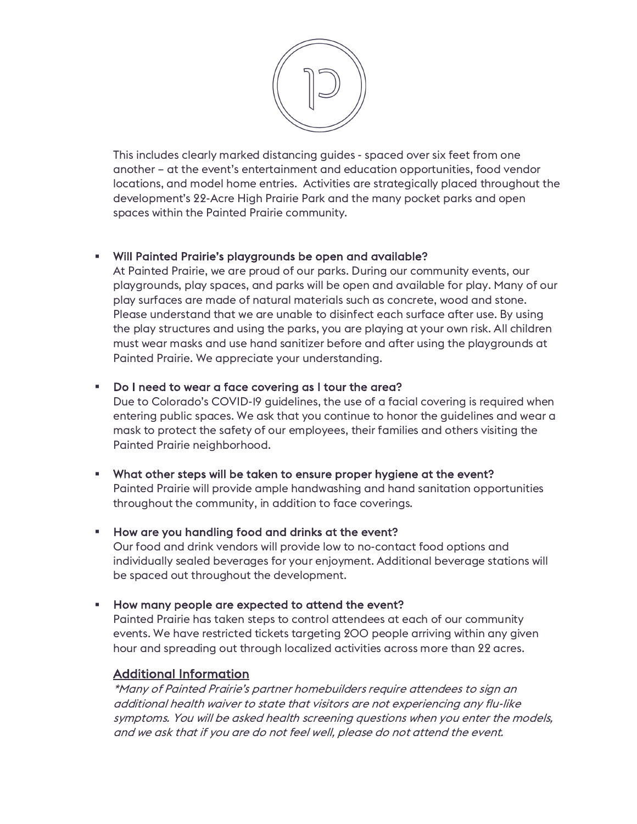

This includes clearly marked distancing guides - spaced over six feet from one another – at the event's entertainment and education opportunities, food vendor locations, and model home entries. Activities are strategically placed throughout the development's 22-Acre High Prairie Park and the many pocket parks and open spaces within the Painted Prairie community.

## § Will Painted Prairie's playgrounds be open and available?

At Painted Prairie, we are proud of our parks. During our community events, our playgrounds, play spaces, and parks will be open and available for play. Many of our play surfaces are made of natural materials such as concrete, wood and stone. Please understand that we are unable to disinfect each surface after use. By using the play structures and using the parks, you are playing at your own risk. All children must wear masks and use hand sanitizer before and after using the playgrounds at Painted Prairie. We appreciate your understanding.

## § Do I need to wear a face covering as I tour the area?

Due to Colorado's COVID-19 guidelines, the use of a facial covering is required when entering public spaces. We ask that you continue to honor the guidelines and wear a mask to protect the safety of our employees, their families and others visiting the Painted Prairie neighborhood.

#### § What other steps will be taken to ensure proper hygiene at the event? Painted Prairie will provide ample handwashing and hand sanitation opportunities throughout the community, in addition to face coverings.

#### **EXT** How are you handling food and drinks at the event?

Our food and drink vendors will provide low to no-contact food options and individually sealed beverages for your enjoyment. Additional beverage stations will be spaced out throughout the development.

#### **EXTER How many people are expected to attend the event?**

Painted Prairie has taken steps to control attendees at each of our community events. We have restricted tickets targeting 200 people arriving within any given hour and spreading out through localized activities across more than 22 acres.

# Additional Information

\*Many of Painted Prairie's partner homebuilders require attendees to sign an additional health waiver to state that visitors are not experiencing any flu-like symptoms. You will be asked health screening questions when you enter the models, and we ask that if you are do not feel well, please do not attend the event.